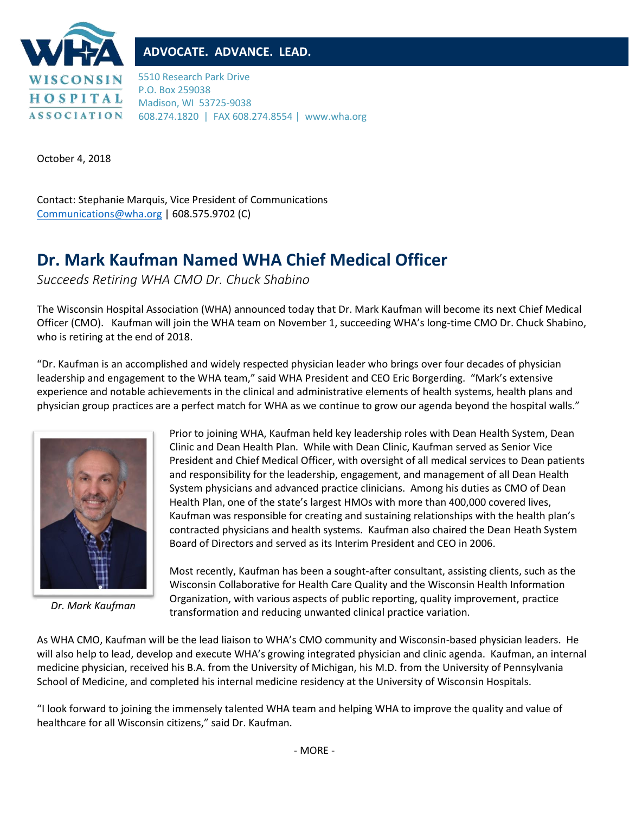

## **ADVOCATE. ADVANCE. LEAD.**

5510 Research Park Drive P.O. Box 259038 Madison, WI 53725-9038 608.274.1820 | FAX 608.274.8554 | www.wha.org

October 4, 2018

Contact: Stephanie Marquis, Vice President of Communications [Communications@wha.org](mailto:Communications@wha.org) | 608.575.9702 (C)

## **Dr. Mark Kaufman Named WHA Chief Medical Officer**

*Succeeds Retiring WHA CMO Dr. Chuck Shabino*

The Wisconsin Hospital Association (WHA) announced today that Dr. Mark Kaufman will become its next Chief Medical Officer (CMO). Kaufman will join the WHA team on November 1, succeeding WHA's long-time CMO Dr. Chuck Shabino, who is retiring at the end of 2018.

"Dr. Kaufman is an accomplished and widely respected physician leader who brings over four decades of physician leadership and engagement to the WHA team," said WHA President and CEO Eric Borgerding. "Mark's extensive experience and notable achievements in the clinical and administrative elements of health systems, health plans and physician group practices are a perfect match for WHA as we continue to grow our agenda beyond the hospital walls."



*Dr. Mark Kaufman*

Prior to joining WHA, Kaufman held key leadership roles with Dean Health System, Dean Clinic and Dean Health Plan. While with Dean Clinic, Kaufman served as Senior Vice President and Chief Medical Officer, with oversight of all medical services to Dean patients and responsibility for the leadership, engagement, and management of all Dean Health System physicians and advanced practice clinicians. Among his duties as CMO of Dean Health Plan, one of the state's largest HMOs with more than 400,000 covered lives, Kaufman was responsible for creating and sustaining relationships with the health plan's contracted physicians and health systems. Kaufman also chaired the Dean Heath System Board of Directors and served as its Interim President and CEO in 2006.

Most recently, Kaufman has been a sought-after consultant, assisting clients, such as the Wisconsin Collaborative for Health Care Quality and the Wisconsin Health Information Organization, with various aspects of public reporting, quality improvement, practice transformation and reducing unwanted clinical practice variation.

As WHA CMO, Kaufman will be the lead liaison to WHA's CMO community and Wisconsin-based physician leaders. He will also help to lead, develop and execute WHA's growing integrated physician and clinic agenda. Kaufman, an internal medicine physician, received his B.A. from the University of Michigan, his M.D. from the University of Pennsylvania School of Medicine, and completed his internal medicine residency at the University of Wisconsin Hospitals.

"I look forward to joining the immensely talented WHA team and helping WHA to improve the quality and value of healthcare for all Wisconsin citizens," said Dr. Kaufman.